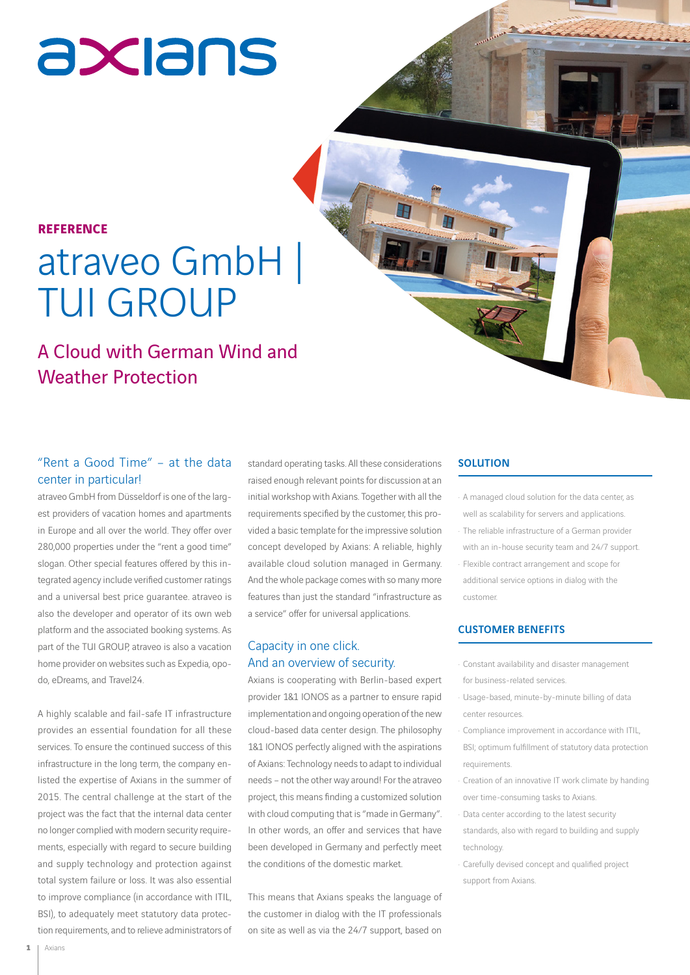# axians

#### **REFERENCE**

### atraveo GmbH | TUI GROUP

### A Cloud with German Wind and Weather Protection

#### "Rent a Good Time" – at the data center in particular!

atraveo GmbH from Düsseldorf is one of the largest providers of vacation homes and apartments in Europe and all over the world. They offer over 280,000 properties under the "rent a good time" slogan. Other special features offered by this integrated agency include verified customer ratings and a universal best price guarantee. atraveo is also the developer and operator of its own web platform and the associated booking systems. As part of the TUI GROUP, atraveo is also a vacation home provider on websites such as Expedia, opodo, eDreams, and Travel24.

A highly scalable and fail-safe IT infrastructure provides an essential foundation for all these services. To ensure the continued success of this infrastructure in the long term, the company enlisted the expertise of Axians in the summer of 2015. The central challenge at the start of the project was the fact that the internal data center no longer complied with modern security requirements, especially with regard to secure building and supply technology and protection against total system failure or loss. It was also essential to improve compliance (in accordance with ITIL, BSI), to adequately meet statutory data protection requirements, and to relieve administrators of

standard operating tasks. All these considerations raised enough relevant points for discussion at an initial workshop with Axians. Together with all the requirements specified by the customer, this provided a basic template for the impressive solution concept developed by Axians: A reliable, highly available cloud solution managed in Germany. And the whole package comes with so many more features than just the standard "infrastructure as a service" offer for universal applications.

#### Capacity in one click. And an overview of security.

Axians is cooperating with Berlin-based expert provider 1&1 IONOS as a partner to ensure rapid implementation and ongoing operation of the new cloud-based data center design. The philosophy 1&1 IONOS perfectly aligned with the aspirations of Axians: Technology needs to adapt to individual needs – not the other way around! For the atraveo project, this means finding a customized solution with cloud computing that is "made in Germany". In other words, an offer and services that have been developed in Germany and perfectly meet the conditions of the domestic market.

This means that Axians speaks the language of the customer in dialog with the IT professionals on site as well as via the 24/7 support, based on

#### **SOLUTION**

A managed cloud solution for the data center, as well as scalability for servers and applications. The reliable infrastructure of a German provider with an in-house security team and 24/7 support. Flexible contract arrangement and scope for additional service options in dialog with the customer.

#### CUSTOMER BENEFITS

- · Constant availability and disaster management for business-related services.
- Usage-based, minute-by-minute billing of data center resources.
- Compliance improvement in accordance with ITIL, BSI; optimum fulfillment of statutory data protection requirements.
- Creation of an innovative IT work climate by handing over time-consuming tasks to Axians.
- Data center according to the latest security standards, also with regard to building and supply technology.
- Carefully devised concept and qualified project support from Axians.